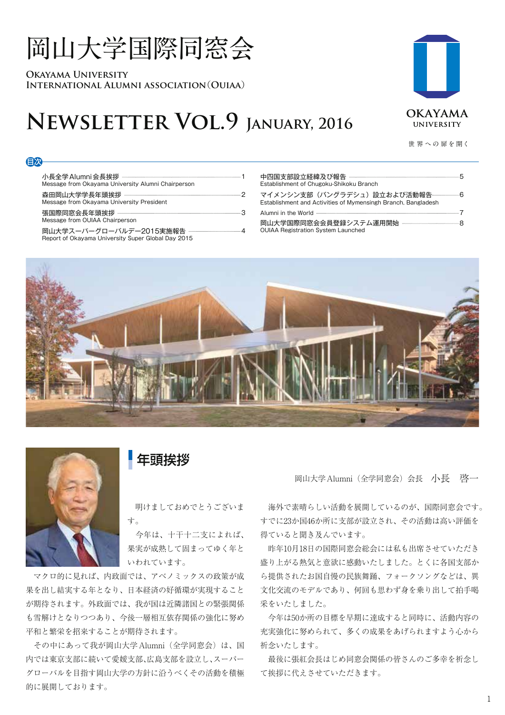# **岡山大学国際同窓会**

**Okayama University International Alumni association**(**Ouiaa**)

# **Newsletter Vol.9 January, 2016**



**世 界 への 扉を開く**

#### 目次

小長全学Alumni会長挨拶 -Message from Okayama University Alumni Chairperson

森田岡山大学学長年頭挨拶 ----------------

Message from Okayama University President

張国際同窓会長年頭挨拶 3 Message from OUIAA Chairperson

岡山大学スーパーグローバルデー2015実施報告 …

Report of Okayama University Super Global Day 2015

| Establishment of Chugoku-Shikoku Branch                                                                     |  |
|-------------------------------------------------------------------------------------------------------------|--|
| マイメンシン支部(バングラデシュ)設立および活動報告---------------6<br>Establishment and Activities of Mymensingh Branch, Bangladesh |  |
|                                                                                                             |  |
| <b>OUIAA Registration System Launched</b>                                                                   |  |



年頭挨拶

 明けましておめでとうございま す。

 今年は、十干十二支によれば、 果実が成熟して固まってゆく年と いわれています。

 マクロ的に見れば、内政面では、アベノミックスの政策が成 果を出し結実する年となり、日本経済の好循環が実現すること が期待されます。外政面では、我が国は近隣諸国との緊張関係 も雪解けとなりつつあり、今後一層相互依存関係の強化に努め 平和と繁栄を招来することが期待されます。

 その中にあって我が岡山大学Alumni(全学同窓会)は、国 内では東京支部に続いて愛媛支部、広島支部を設立し、スーパー グローバルを目指す岡山大学の方針に沿うべくその活動を積極 的に展開しております。

岡山大学Alumni(全学同窓会)会長 小長 啓一

 海外で素晴らしい活動を展開しているのが、国際同窓会です。 すでに23か国46か所に支部が設立され、その活動は高い評価を 得ていると聞き及んでいます。

 昨年10月18日の国際同窓会総会には私も出席させていただき 盛り上がる熱気と意欲に感動いたしました。とくに各国支部か ら提供されたお国自慢の民族舞踊、フォークソングなどは、異 文化交流のモデルであり、何回も思わず身を乗り出して拍手喝 采をいたしました。

 今年は50か所の目標を早期に達成すると同時に、活動内容の 充実強化に努められて、多くの成果をあげられますよう心から 祈念いたします。

 最後に張紅会長はじめ同窓会関係の皆さんのご多幸を祈念し て挨拶に代えさせていただきます。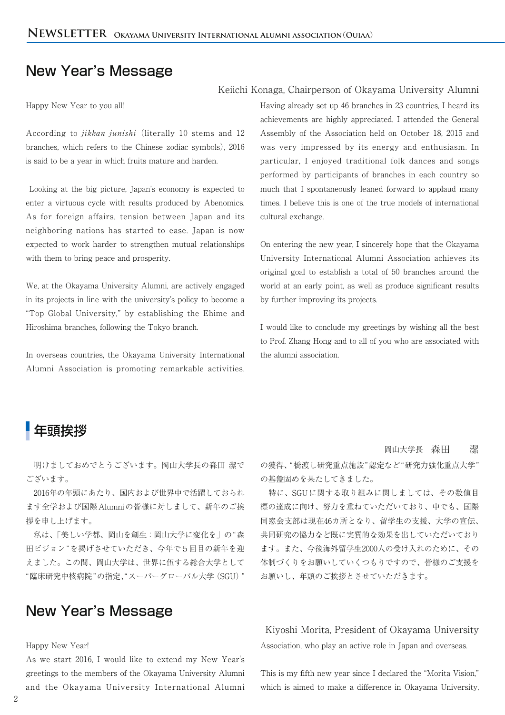### New Year's Message

Happy New Year to you all!

According to *jikkan junishi* (literally 10 stems and 12 branches, which refers to the Chinese zodiac symbols), 2016 is said to be a year in which fruits mature and harden.

Looking at the big picture, Japan's economy is expected to enter a virtuous cycle with results produced by Abenomics. As for foreign affairs, tension between Japan and its neighboring nations has started to ease. Japan is now expected to work harder to strengthen mutual relationships with them to bring peace and prosperity.

We, at the Okayama University Alumni, are actively engaged in its projects in line with the university's policy to become a "Top Global University," by establishing the Ehime and Hiroshima branches, following the Tokyo branch.

In overseas countries, the Okayama University International Alumni Association is promoting remarkable activities.

#### Keiichi Konaga, Chairperson of Okayama University Alumni

Having already set up 46 branches in 23 countries, I heard its achievements are highly appreciated. I attended the General Assembly of the Association held on October 18, 2015 and was very impressed by its energy and enthusiasm. In particular, I enjoyed traditional folk dances and songs performed by participants of branches in each country so much that I spontaneously leaned forward to applaud many times. I believe this is one of the true models of international cultural exchange.

On entering the new year, I sincerely hope that the Okayama University International Alumni Association achieves its original goal to establish a total of 50 branches around the world at an early point, as well as produce significant results by further improving its projects.

I would like to conclude my greetings by wishing all the best to Prof. Zhang Hong and to all of you who are associated with the alumni association.

## 年頭挨拶

 明けましておめでとうございます。岡山大学長の森田 潔で ございます。

 2016年の年頭にあたり、国内および世界中で活躍しておられ ます全学および国際Alumniの皆様に対しまして、新年のご挨 拶を申し上げます。

 私は、「美しい学都、岡山を創生:岡山大学に変化を」の"森 田ビジョン"を掲げさせていただき、今年で5回目の新年を迎 えました。この間、岡山大学は、世界に伍する総合大学として "臨床研究中核病院"の指定、"スーパーグローバル大学(SGU)"

### New Year's Message

#### Happy New Year!

As we start 2016, I would like to extend my New Year's greetings to the members of the Okayama University Alumni and the Okayama University International Alumni

#### 岡山大学長 森田 潔

の獲得、"橋渡し研究重点施設"認定など"研究力強化重点大学" の基盤固めを果たしてきました。

 特に、SGUに関する取り組みに関しましては、その数値目 標の達成に向け、努力を重ねていただいており、中でも、国際 同窓会支部は現在46カ所となり、留学生の支援、大学の宣伝、 共同研究の協力など既に実質的な効果を出していただいており ます。また、今後海外留学生2000人の受け入れのために、その 体制づくりをお願いしていくつもりですので、皆様のご支援を お願いし、年頭のご挨拶とさせていただきます。

### Kiyoshi Morita, President of Okayama University

Association, who play an active role in Japan and overseas.

This is my fifth new year since I declared the "Morita Vision," which is aimed to make a difference in Okayama University,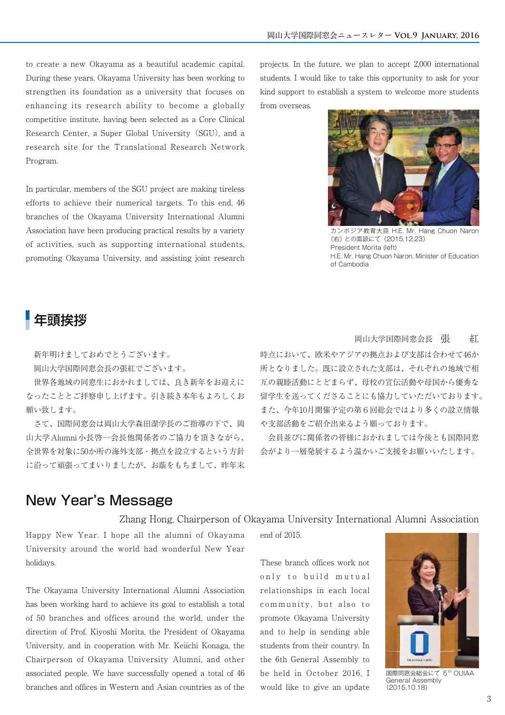to create a new Okayama as a beautiful academic capital. During these years, Okayama University has been working to strengthen its foundation as a university that focuses on enhancing its research ability to become a globally competitive institute, having been selected as a Core Clinical Research Center, a Super Global University(SGU), and a research site for the Translational Research Network Program.

In particular, members of the SGU project are making tireless efforts to achieve their numerical targets. To this end, 46 branches of the Okayama University International Alumni Association have been producing practical results by a variety of activities, such as supporting international students, promoting Okayama University, and assisting joint research projects. In the future, we plan to accept 2,000 international students. I would like to take this opportunity to ask for your kind support to establish a system to welcome more students from overseas.



カンボジア教育大臣 H.E. Mr. Hang Chuon Naron (右) との面談にて(2015.12.23) President Morita (left) H.E. Mr. Hang Chuon Naron, Minister of Education of Cambodia

### 年頭挨拶

新年明けましておめでとうございます。

岡山大学国際同窓会長の張紅でございます。

 世界各地域の同窓生におかれましては、良き新年をお迎えに なったこととご拝察申し上げます。引き続き本年もよろしくお 願い致します。

 さて、国際同窓会は岡山大学森田潔学長のご指導の下で、岡 山大学Alumni小長啓一会長他関係者のご協力を頂きながら、 全世界を対象に50か所の海外支部・拠点を設立するという方針 に沿って頑張ってまいりましたが、お蔭をもちまして、昨年末

#### 岡山大学国際同窓会長 張 紅

時点において、欧米やアジアの拠点および支部は合わせて46か 所となりました。既に設立された支部は、それぞれの地域で相 互の親睦活動にとどまらず、母校の宣伝活動や母国から優秀な 留学生を送ってくださることにも協力していただいております。 また、今年10月開催予定の第6回総会ではより多くの設立情報 や支部活動をご紹介出来るよう願っております。

 会員並びに関係者の皆様におかれましては今後とも国際同窓 会がより一層発展するよう温かいご支援をお願いいたします。

### New Year's Message

Zhang Hong, Chairperson of Okayama University International Alumni Association

Happy New Year. I hope all the alumni of Okayama University around the world had wonderful New Year holidays.

The Okayama University International Alumni Association has been working hard to achieve its goal to establish a total of 50 branches and offices around the world, under the direction of Prof. Kiyoshi Morita, the President of Okayama University, and in cooperation with Mr. Keiichi Konaga, the Chairperson of Okayama University Alumni, and other associated people. We have successfully opened a total of 46 branches and offices in Western and Asian countries as of the end of 2015.

These branch offices work not only to build mutual relationships in each local community, but also to promote Okayama University and to help in sending able students from their country. In the 6th General Assembly to be held in October 2016, I would like to give an update



国際同窓会総会にて 5<sup>th</sup> OUIAA General Assembly (2015.10.18)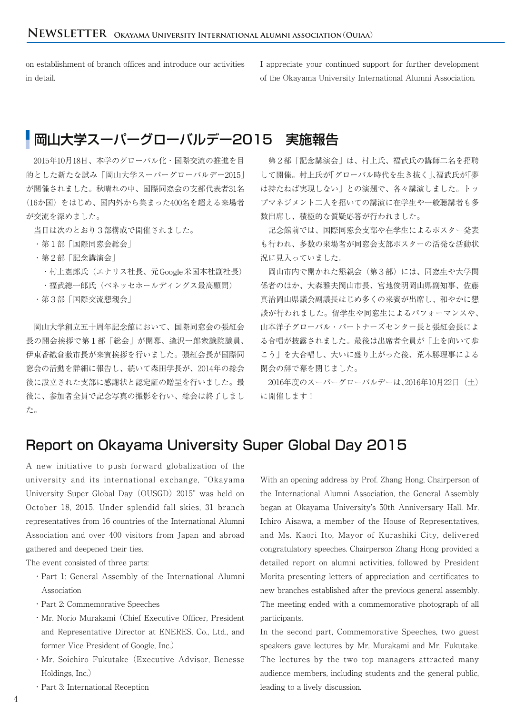on establishment of branch offices and introduce our activities in detail.

I appreciate your continued support for further development of the Okayama University International Alumni Association.

# ■岡山大学スーパーグローバルデー2015 実施報告

 2015年10月18日、本学のグローバル化・国際交流の推進を目 的とした新たな試み「岡山大学スーパーグローバルデー2015」 が開催されました。秋晴れの中、国際同窓会の支部代表者31名 (16か国)をはじめ、国内外から集まった400名を超える来場者 が交流を深めました。

当日は次のとおり3部構成で開催されました。

- ・第1部「国際同窓会総会」
- ・第2部「記念講演会」
	- · 村上憲郎氏(エナリス社長、元Google米国本社副社長)
	- ・福武總一郎氏(ベネッセホールディングス最高顧問)
- ・第3部「国際交流懇親会」

 岡山大学創立五十周年記念館において、国際同窓会の張紅会 長の開会挨拶で第1部「総会」が開幕、逢沢一郎衆議院議員、 伊東香織倉敷市長が来賓挨拶を行いました。張紅会長が国際同 窓会の活動を詳細に報告し、続いて森田学長が、2014年の総会 後に設立された支部に感謝状と認定証の贈呈を行いました。最 後に、参加者全員で記念写真の撮影を行い、総会は終了しまし た。

 第2部「記念講演会」は、村上氏、福武氏の講師二名を招聘 して開催。村上氏が「グローバル時代を生き抜く」、福武氏が「夢 は持たねば実現しない」との演題で、各々講演しました。トッ プマネジメント二人を招いての講演に在学生や一般聴講者も多 数出席し、積極的な質疑応答が行われました。

 記念館前では、国際同窓会支部や在学生によるポスター発表 も行われ、多数の来場者が同窓会支部ポスターの活発な活動状 況に見入っていました。

 岡山市内で開かれた懇親会(第3部)には、同窓生や大学関 係者のほか、大森雅夫岡山市長、宮地俊明岡山県副知事、佐藤 真治岡山県議会副議長はじめ多くの来賓が出席し、和やかに懇 談が行われました。留学生や同窓生によるパフォーマンスや、 山本洋子グローバル・パートナーズセンター長と張紅会長によ る合唱が披露されました。最後は出席者全員が「上を向いて歩 こう」を大合唱し、大いに盛り上がった後、荒木勝理事による 閉会の辞で幕を閉じました。

 2016年度のスーパーグローバルデーは、2016年10月22日(土) に開催します!

### Report on Okayama University Super Global Day 2015

A new initiative to push forward globalization of the university and its international exchange, "Okayama University Super Global Day(OUSGD)2015" was held on October 18, 2015. Under splendid fall skies, 31 branch representatives from 16 countries of the International Alumni Association and over 400 visitors from Japan and abroad gathered and deepened their ties.

The event consisted of three parts:

- ・Part 1: General Assembly of the International Alumni Association
- ・Part 2: Commemorative Speeches
- ・Mr. Norio Murakami(Chief Executive Officer, President and Representative Director at ENERES, Co., Ltd., and former Vice President of Google, Inc.)
- ・Mr. Soichiro Fukutake(Executive Advisor, Benesse Holdings, Inc.)
- ・Part 3: International Reception

With an opening address by Prof. Zhang Hong, Chairperson of the International Alumni Association, the General Assembly began at Okayama University's 50th Anniversary Hall. Mr. Ichiro Aisawa, a member of the House of Representatives, and Ms. Kaori Ito, Mayor of Kurashiki City, delivered congratulatory speeches. Chairperson Zhang Hong provided a detailed report on alumni activities, followed by President Morita presenting letters of appreciation and certificates to new branches established after the previous general assembly. The meeting ended with a commemorative photograph of all participants.

In the second part, Commemorative Speeches, two guest speakers gave lectures by Mr. Murakami and Mr. Fukutake. The lectures by the two top managers attracted many audience members, including students and the general public, leading to a lively discussion.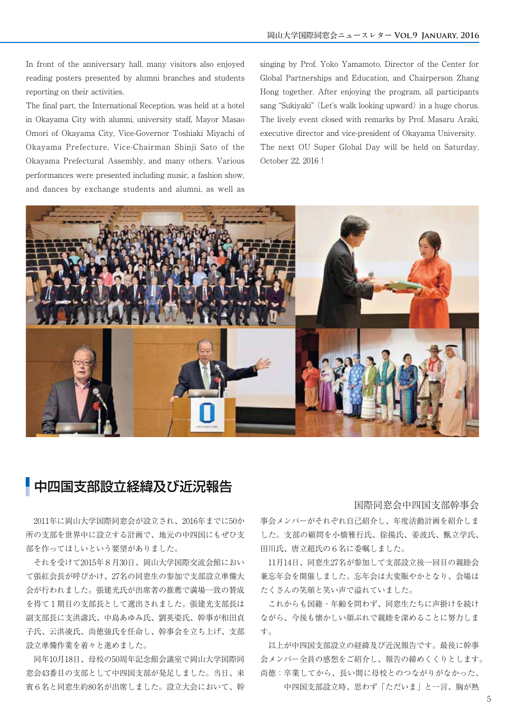In front of the anniversary hall, many visitors also enjoyed reading posters presented by alumni branches and students reporting on their activities.

The final part, the International Reception, was held at a hotel in Okayama City with alumni, university staff, Mayor Masao Omori of Okayama City, Vice-Governor Toshiaki Miyachi of Okayama Prefecture, Vice-Chairman Shinji Sato of the Okayama Prefectural Assembly, and many others. Various performances were presented including music, a fashion show, and dances by exchange students and alumni, as well as

singing by Prof. Yoko Yamamoto, Director of the Center for Global Partnerships and Education, and Chairperson Zhang Hong together. After enjoying the program, all participants sang "Sukiyaki" (Let's walk looking upward) in a huge chorus. The lively event closed with remarks by Prof. Masaru Araki, executive director and vice-president of Okayama University. The next OU Super Global Day will be held on Saturday, October 22, 2016!



# 中四国支部設立経緯及び近況報告

#### 国際同窓会中四国支部幹事会

 2011年に岡山大学国際同窓会が設立され、2016年までに50か 所の支部を世界中に設立する計画で、地元の中四国にもぜひ支 部を作ってほしいという要望がありました。

 それを受けて2015年8月30日、岡山大学国際交流会館におい て張紅会長が呼びかけ、27名の同窓生の参加で支部設立準備大 会が行われました。張建光氏が出席者の推薦で満場一致の賛成 を得て1期目の支部長として選出されました。張建光支部長は 副支部長に支洪濤氏、中島あゆみ氏、劉英姿氏、幹事が和田貞 子氏、云洪凌氏、尚徳強氏を任命し、幹事会を立ち上げ、支部 設立準備作業を着々と進めました。

 同年10月18日、母校の50周年記念館会議室で岡山大学国際同 窓会43番目の支部として中四国支部が発足しました。当日、来 賓6名と同窓生約80名が出席しました。設立大会において、幹

事会メンバーがそれぞれ自己紹介し、年度活動計画を紹介しま した。支部の顧問を小橋雅行氏、徐揚氏、姜波氏、甄立学氏、 田川氏、唐立超氏の6名に委嘱しました。

 11月14日、同窓生27名が参加して支部設立後一回目の親睦会 兼忘年会を開催しました。忘年会は大変賑やかとなり、会場は たくさんの笑顔と笑い声で溢れていました。

 これからも国籍・年齢を問わず、同窓生たちに声掛けを続け ながら、今後も懐かしい顔ぶれで親睦を深めることに努力しま す。

 以上が中四国支部設立の経緯及び近況報告です。最後に幹事 会メンバー全員の感想をご紹介し、報告の締めくくりとします。 尚徳:卒業してから、長い間に母校とのつながりがなかった、

中四国支部設立時、思わず 「ただいま」 と一言、胸が熱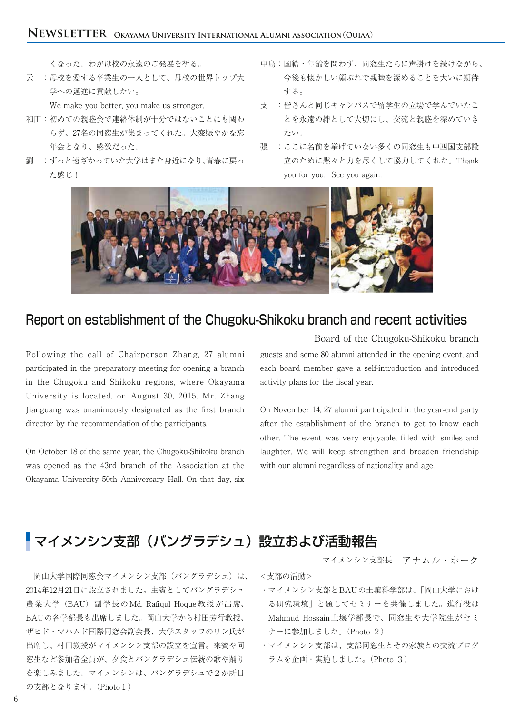くなった。わが母校の永遠のご発展を祈る。

云 :母校を愛する卒業生の一人として、母校の世界トップ大 学への邁進に貢献したい。

We make you better, you make us stronger.

- 和田:初めての親睦会で連絡体制が十分ではないことにも関わ らず、27名の同窓生が集まってくれた。大変賑やかな忘 年会となり、感激だった。
- 劉 :ずっと遠ざかっていた大学はまた身近になり、青春に戻っ た感じ!
- 中島:国籍・年齢を問わず、同窓生たちに声掛けを続けながら、 今後も懐かしい顔ぶれで親睦を深めることを大いに期待 する。
- 支 :皆さんと同じキャンパスで留学生の立場で学んでいたこ とを永遠の絆として大切にし、交流と親睦を深めていき たい。
- 張 :ここに名前を挙げていない多くの同窓生も中四国支部設 立のために黙々と力を尽くして協力してくれた。Thank you for you. See you again.



### Report on establishment of the Chugoku-Shikoku branch and recent activities

Following the call of Chairperson Zhang, 27 alumni participated in the preparatory meeting for opening a branch in the Chugoku and Shikoku regions, where Okayama University is located, on August 30, 2015. Mr. Zhang Jianguang was unanimously designated as the first branch director by the recommendation of the participants.

On October 18 of the same year, the Chugoku-Shikoku branch was opened as the 43rd branch of the Association at the Okayama University 50th Anniversary Hall. On that day, six

guests and some 80 alumni attended in the opening event, and each board member gave a self-introduction and introduced activity plans for the fiscal year. Board of the Chugoku-Shikoku branch

On November 14, 27 alumni participated in the year-end party after the establishment of the branch to get to know each other. The event was very enjoyable, filled with smiles and laughter. We will keep strengthen and broaden friendship with our alumni regardless of nationality and age.

# マイメンシン支部(バングラデシュ)設立および活動報告

 岡山大学国際同窓会マイメンシン支部(バングラデシュ)は、 2014年12月21日に設立されました。主賓としてバングラデシュ 農業大学(BAU)副学長の Md. Rafiqul Hoque 教授が出席、 BAUの各学部長も出席しました。岡山大学から村田芳行教授、 ザヒド・マハムド国際同窓会副会長、大学スタッフのリン氏が 出席し、村田教授がマイメンシン支部の設立を宣言。来賓や同 窓生など参加者全員が、夕食とバングラデシュ伝統の歌や踊り を楽しみました。マイメンシンは、バングラデシュで2か所目 の支部となります。(Photo1)

<支部の活動>

・マイメンシン支部とBAUの土壌科学部は、「岡山大学におけ る研究環境」と題してセミナーを共催しました。進行役は Mahmud Hossain土壌学部長で、同窓生や大学院生がセミ ナーに参加しました。(Photo 2)

マイメンシン支部長 アナムル・ホーク

・マイメンシン支部は、支部同窓生とその家族との交流プログ ラムを企画・実施しました。(Photo 3)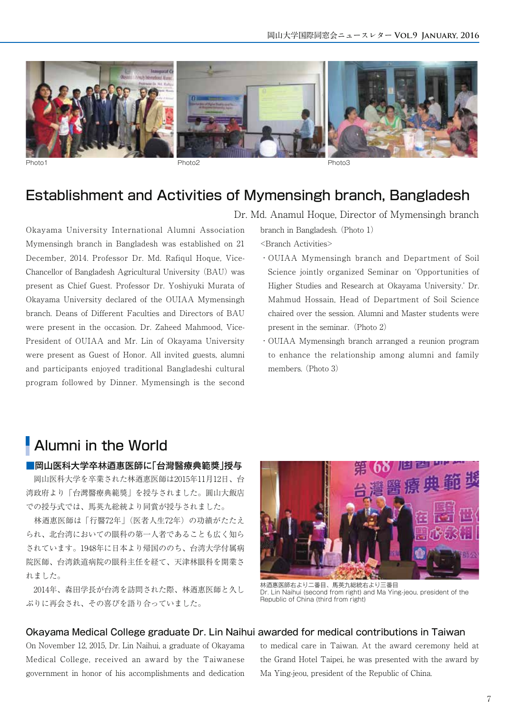

Photo1 Photo2 Photo3

### Establishment and Activities of Mymensingh branch, Bangladesh

Okayama University International Alumni Association Mymensingh branch in Bangladesh was established on 21 December, 2014. Professor Dr. Md. Rafiqul Hoque, Vice-Chancellor of Bangladesh Agricultural University (BAU) was present as Chief Guest. Professor Dr. Yoshiyuki Murata of Okayama University declared of the OUIAA Mymensingh branch. Deans of Different Faculties and Directors of BAU were present in the occasion. Dr. Zaheed Mahmood, Vice-President of OUIAA and Mr. Lin of Okayama University were present as Guest of Honor. All invited guests, alumni and participants enjoyed traditional Bangladeshi cultural program followed by Dinner. Mymensingh is the second

Dr. Md. Anamul Hoque, Director of Mymensingh branch

branch in Bangladesh.(Photo 1)

<Branch Activities>

- ・OUIAA Mymensingh branch and Department of Soil Science jointly organized Seminar on 'Opportunities of Higher Studies and Research at Okayama University.' Dr. Mahmud Hossain, Head of Department of Soil Science chaired over the session. Alumni and Master students were present in the seminar. (Photo  $2$ )
- ・OUIAA Mymensingh branch arranged a reunion program to enhance the relationship among alumni and family members. (Photo 3)

## Alumni in the World

#### ■岡山医科大学卒林迺惠医師に「台灣醫療典範獎」授与

 岡山医科大学を卒業された林迺惠医師は2015年11月12日、台 湾政府より「台灣醫療典範獎」を授与されました。圓山大飯店 での授与式では、馬英九総統より同賞が授与されました。

 林迺惠医師は「行醫72年」(医者人生72年)の功績がたたえ られ、北台湾においての眼科の第一人者であることも広く知ら されています。1948年に日本より帰国ののち、台湾大学付属病 院医師、台湾鉄道病院の眼科主任を経て、天津林眼科を開業さ れました。

 2014年、森田学長が台湾を訪問された際、林迺惠医師と久し ぶりに再会され、その喜びを語り合っていました。



林迺惠医師右より二番目、馬英九総統右より三番目 Dr. Lin Naihui (second from right) and Ma Ying-jeou, president of the Republic of China (third from right)

### Okayama Medical College graduate Dr. Lin Naihui awarded for medical contributions in Taiwan

On November 12, 2015, Dr. Lin Naihui, a graduate of Okayama Medical College, received an award by the Taiwanese government in honor of his accomplishments and dedication

to medical care in Taiwan. At the award ceremony held at the Grand Hotel Taipei, he was presented with the award by Ma Ying-jeou, president of the Republic of China.